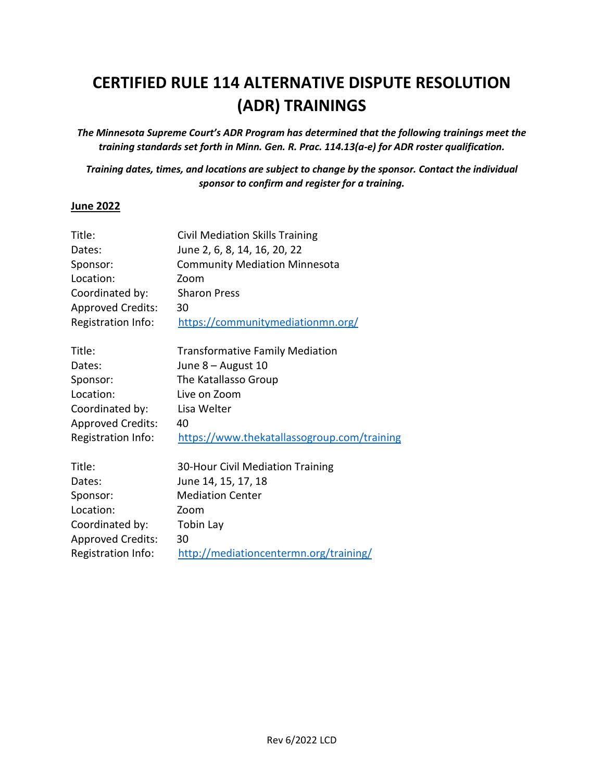# **CERTIFIED RULE 114 ALTERNATIVE DISPUTE RESOLUTION (ADR) TRAININGS**

*The Minnesota Supreme Court's ADR Program has determined that the following trainings meet the training standards set forth in Minn. Gen. R. Prac. 114.13(a-e) for ADR roster qualification.*

*Training dates, times, and locations are subject to change by the sponsor. Contact the individual sponsor to confirm and register for a training.*

#### **June 2022**

| Title:                   | <b>Civil Mediation Skills Training</b>      |
|--------------------------|---------------------------------------------|
| Dates:                   | June 2, 6, 8, 14, 16, 20, 22                |
| Sponsor:                 | <b>Community Mediation Minnesota</b>        |
| Location:                | Zoom                                        |
| Coordinated by:          | <b>Sharon Press</b>                         |
| <b>Approved Credits:</b> | 30                                          |
| Registration Info:       | https://communitymediationmn.org/           |
| Title:                   | <b>Transformative Family Mediation</b>      |
| Dates:                   | June 8 - August 10                          |
| Sponsor:                 | The Katallasso Group                        |
| Location:                | Live on Zoom                                |
| Coordinated by:          | Lisa Welter                                 |
| <b>Approved Credits:</b> | 40                                          |
| Registration Info:       | https://www.thekatallassogroup.com/training |
| Title:                   | 30-Hour Civil Mediation Training            |
| Dates:                   | June 14, 15, 17, 18                         |
| Sponsor:                 | <b>Mediation Center</b>                     |
| Location:                | Zoom                                        |
| Coordinated by:          | <b>Tobin Lay</b>                            |
| <b>Approved Credits:</b> | 30                                          |
| Registration Info:       | http://mediationcentermn.org/training/      |
|                          |                                             |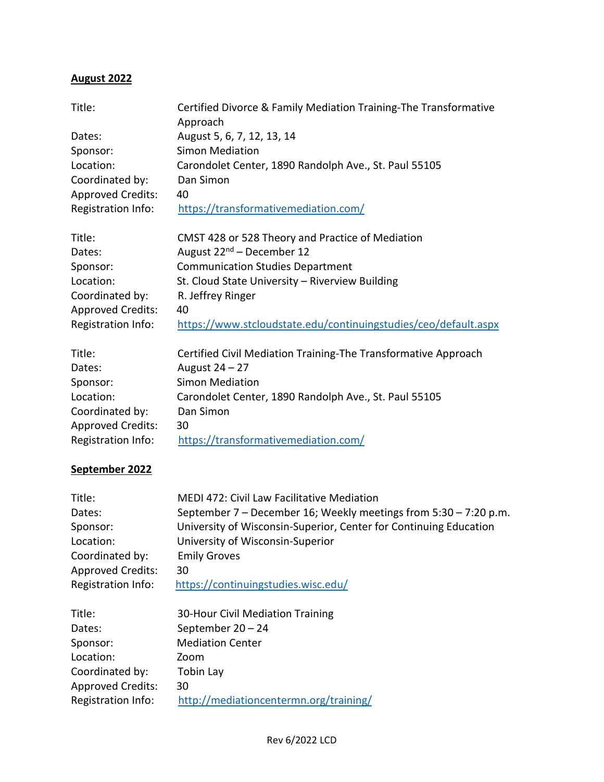## **August 2022**

| Title:                   | Certified Divorce & Family Mediation Training-The Transformative<br>Approach              |
|--------------------------|-------------------------------------------------------------------------------------------|
| Dates:                   | August 5, 6, 7, 12, 13, 14                                                                |
| Sponsor:                 | <b>Simon Mediation</b>                                                                    |
| Location:                | Carondolet Center, 1890 Randolph Ave., St. Paul 55105                                     |
| Coordinated by:          | Dan Simon                                                                                 |
| <b>Approved Credits:</b> | 40                                                                                        |
| Registration Info:       | https://transformativemediation.com/                                                      |
| Title:                   |                                                                                           |
| Dates:                   | CMST 428 or 528 Theory and Practice of Mediation<br>August 22 <sup>nd</sup> – December 12 |
| Sponsor:                 | <b>Communication Studies Department</b>                                                   |
| Location:                | St. Cloud State University - Riverview Building                                           |
|                          |                                                                                           |
| Coordinated by:          | R. Jeffrey Ringer<br>40                                                                   |
| <b>Approved Credits:</b> |                                                                                           |
| Registration Info:       | https://www.stcloudstate.edu/continuingstudies/ceo/default.aspx                           |
| Title:                   | Certified Civil Mediation Training-The Transformative Approach                            |
| Dates:                   | August 24 - 27                                                                            |
| Sponsor:                 | <b>Simon Mediation</b>                                                                    |
| Location:                | Carondolet Center, 1890 Randolph Ave., St. Paul 55105                                     |
| Coordinated by:          | Dan Simon                                                                                 |
| <b>Approved Credits:</b> | 30                                                                                        |
| Registration Info:       | https://transformativemediation.com/                                                      |

### **September 2022**

| <b>MEDI 472: Civil Law Facilitative Mediation</b>                 |
|-------------------------------------------------------------------|
| September 7 - December 16; Weekly meetings from 5:30 - 7:20 p.m.  |
| University of Wisconsin-Superior, Center for Continuing Education |
| University of Wisconsin-Superior                                  |
| <b>Emily Groves</b>                                               |
| 30                                                                |
| https://continuingstudies.wisc.edu/                               |
|                                                                   |
| 30-Hour Civil Mediation Training                                  |
| September $20 - 24$                                               |
| <b>Mediation Center</b>                                           |
| Zoom                                                              |
| <b>Tobin Lay</b>                                                  |
| 30                                                                |
| http://mediationcentermn.org/training/                            |
|                                                                   |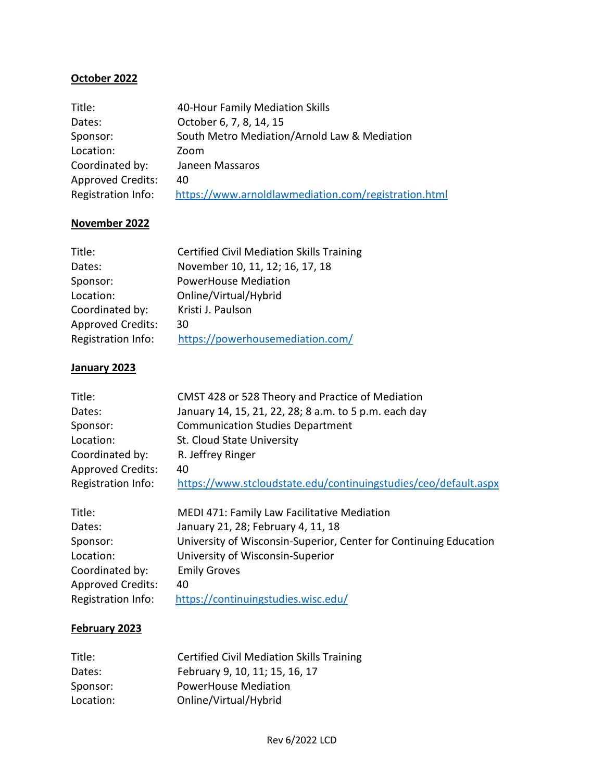### **October 2022**

| Title:                   | 40-Hour Family Mediation Skills                      |
|--------------------------|------------------------------------------------------|
| Dates:                   | October 6, 7, 8, 14, 15                              |
| Sponsor:                 | South Metro Mediation/Arnold Law & Mediation         |
| Location:                | Zoom                                                 |
| Coordinated by:          | Janeen Massaros                                      |
| <b>Approved Credits:</b> | 40                                                   |
| Registration Info:       | https://www.arnoldlawmediation.com/registration.html |

#### **November 2022**

| <b>Certified Civil Mediation Skills Training</b> |
|--------------------------------------------------|
| November 10, 11, 12; 16, 17, 18                  |
| <b>PowerHouse Mediation</b>                      |
| Online/Virtual/Hybrid                            |
| Kristi J. Paulson                                |
| 30                                               |
| https://powerhousemediation.com/                 |
|                                                  |

#### **January 2023**

| Title:                   | CMST 428 or 528 Theory and Practice of Mediation                |
|--------------------------|-----------------------------------------------------------------|
| Dates:                   | January 14, 15, 21, 22, 28; 8 a.m. to 5 p.m. each day           |
| Sponsor:                 | <b>Communication Studies Department</b>                         |
| Location:                | St. Cloud State University                                      |
| Coordinated by:          | R. Jeffrey Ringer                                               |
| <b>Approved Credits:</b> | 40                                                              |
| Registration Info:       | https://www.stcloudstate.edu/continuingstudies/ceo/default.aspx |
|                          |                                                                 |

| Title:                   | MEDI 471: Family Law Facilitative Mediation                       |
|--------------------------|-------------------------------------------------------------------|
| Dates:                   | January 21, 28; February 4, 11, 18                                |
| Sponsor:                 | University of Wisconsin-Superior, Center for Continuing Education |
| Location:                | University of Wisconsin-Superior                                  |
| Coordinated by:          | <b>Emily Groves</b>                                               |
| <b>Approved Credits:</b> | 40                                                                |
| Registration Info:       | https://continuingstudies.wisc.edu/                               |

## **February 2023**

| Title:    | <b>Certified Civil Mediation Skills Training</b> |
|-----------|--------------------------------------------------|
| Dates:    | February 9, 10, 11; 15, 16, 17                   |
| Sponsor:  | <b>PowerHouse Mediation</b>                      |
| Location: | Online/Virtual/Hybrid                            |